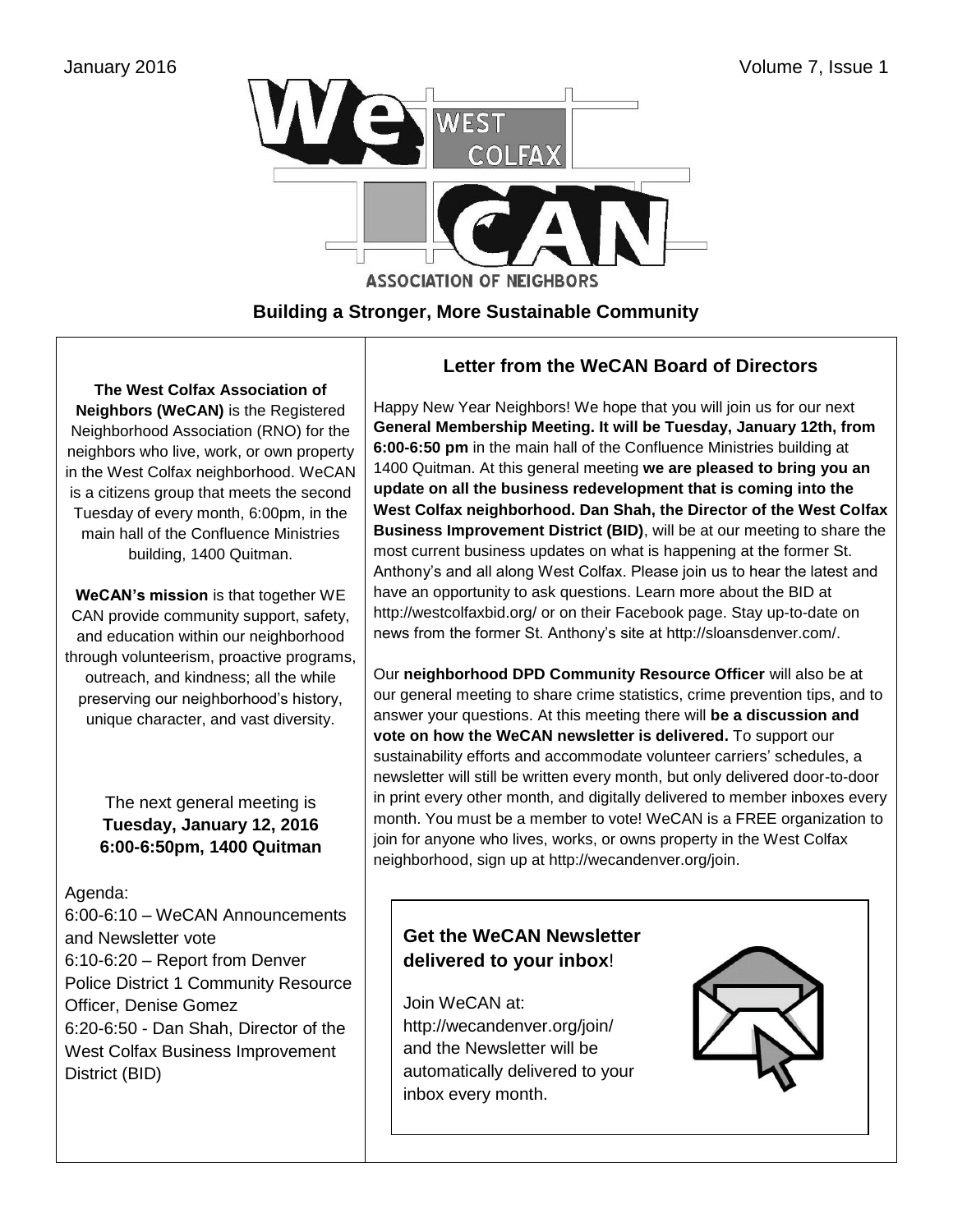

## **Building a Stronger, More Sustainable Community**

**The West Colfax Association of Neighbors (WeCAN)** is the Registered Neighborhood Association (RNO) for the neighbors who live, work, or own property in the West Colfax neighborhood. WeCAN is a citizens group that meets the second Tuesday of every month, 6:00pm, in the main hall of the Confluence Ministries building, 1400 Quitman.

**WeCAN's mission** is that together WE CAN provide community support, safety, and education within our neighborhood through volunteerism, proactive programs, outreach, and kindness; all the while preserving our neighborhood's history, unique character, and vast diversity.

> The next general meeting is **Tuesday, January 12, 2016 6:00-6:50pm, 1400 Quitman**

### Agenda:

6:00-6:10 – WeCAN Announcements and Newsletter vote 6:10-6:20 – Report from Denver Police District 1 Community Resource Officer, Denise Gomez 6:20-6:50 - Dan Shah, Director of the West Colfax Business Improvement District (BID)

## **Letter from the WeCAN Board of Directors**

Happy New Year Neighbors! We hope that you will join us for our next **General Membership Meeting. It will be Tuesday, January 12th, from 6:00-6:50 pm** in the main hall of the Confluence Ministries building at 1400 Quitman. At this general meeting **we are pleased to bring you an update on all the business redevelopment that is coming into the West Colfax neighborhood. Dan Shah, the Director of the West Colfax Business Improvement District (BID)**, will be at our meeting to share the most current business updates on what is happening at the former St. Anthony's and all along West Colfax. Please join us to hear the latest and have an opportunity to ask questions. Learn more about the BID at <http://westcolfaxbid.org/> or on their Facebook page. Stay up-to-date on news from the former St. Anthony's site at [http://sloansdenver.com/.](http://sloansdenver.com/)

Our **neighborhood DPD Community Resource Officer** will also be at our general meeting to share crime statistics, crime prevention tips, and to answer your questions. At this meeting there will **be a discussion and vote on how the WeCAN newsletter is delivered.** To support our sustainability efforts and accommodate volunteer carriers' schedules, a newsletter will still be written every month, but only delivered door-to-door in print every other month, and digitally delivered to member inboxes every month. You must be a member to vote! WeCAN is a FREE organization to join for anyone who lives, works, or owns property in the West Colfax neighborhood, sign up at [http://wecandenver.org/join.](http://wecandenver.org/join)

## **Get the WeCAN Newsletter delivered to your inbox**!

Join WeCAN at: <http://wecandenver.org/join/> and the Newsletter will be automatically delivered to your inbox every month.